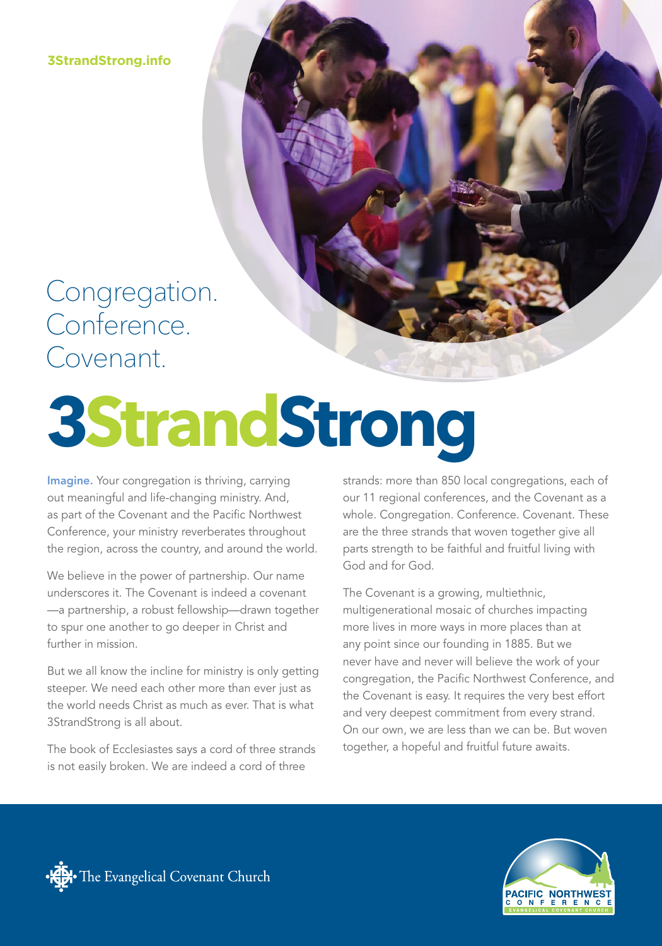**3StrandStrong.info**

### Congregation. Conference. Covenant.

# **3StrandStrong**

Imagine. Your congregation is thriving, carrying out meaningful and life-changing ministry. And, as part of the Covenant and the Pacific Northwest Conference, your ministry reverberates throughout the region, across the country, and around the world.

We believe in the power of partnership. Our name underscores it. The Covenant is indeed a covenant —a partnership, a robust fellowship—drawn together to spur one another to go deeper in Christ and further in mission.

But we all know the incline for ministry is only getting steeper. We need each other more than ever just as the world needs Christ as much as ever. That is what 3StrandStrong is all about.

The book of Ecclesiastes says a cord of three strands is not easily broken. We are indeed a cord of three

strands: more than 850 local congregations, each of our 11 regional conferences, and the Covenant as a whole. Congregation. Conference. Covenant. These are the three strands that woven together give all parts strength to be faithful and fruitful living with God and for God.

The Covenant is a growing, multiethnic, multigenerational mosaic of churches impacting more lives in more ways in more places than at any point since our founding in 1885. But we never have and never will believe the work of your congregation, the Pacific Northwest Conference, and the Covenant is easy. It requires the very best effort and very deepest commitment from every strand. On our own, we are less than we can be. But woven together, a hopeful and fruitful future awaits.



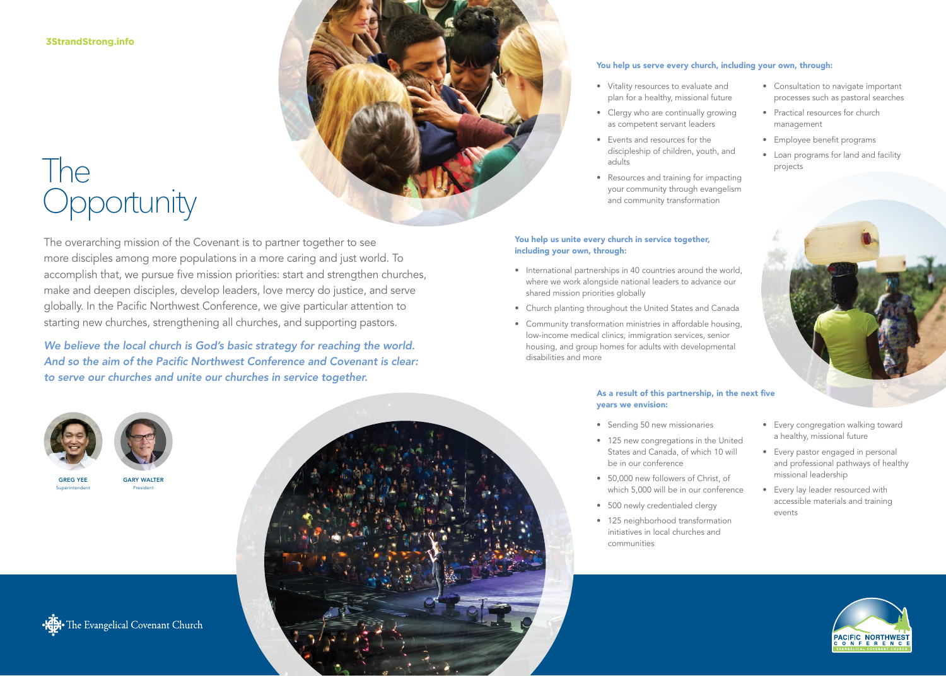**3StrandStrong.info**

## The **Opportunity**

The overarching mission of the Covenant is to partner together to see more disciples among more populations in a more caring and just world. To accomplish that, we pursue five mission priorities: start and strengthen churches, make and deepen disciples, develop leaders, love mercy do justice, and serve globally. In the Pacific Northwest Conference, we give particular attention to starting new churches, strengthening all churches, and supporting pastors.

*We believe the local church is God's basic strategy for reaching the world. And so the aim of the Pacific Northwest Conference and Covenant is clear: to serve our churches and unite our churches in service together.*





GREG YEE Superintendent







### You help us serve every church, including your own, through:

- Vitality resources to evaluate and plan for a healthy, missional future
- Clergy who are continually growing as competent servant leaders
- Events and resources for the discipleship of children, youth, and adults
- Resources and training for impacting your community through evangelism and community transformation

### You help us unite every church in service together, including your own, through:

- International partnerships in 40 countries around the world, where we work alongside national leaders to advance our shared mission priorities globally
- Church planting throughout the United States and Canada
- Community transformation ministries in affordable housing, low-income medical clinics, immigration services, senior housing, and group homes for adults with developmental disabilities and more

### As a result of this partnership, in the next five years we envision:

- Sending 50 new missionaries
- 125 new congregations in the United States and Canada, of which 10 will be in our conference
- 50,000 new followers of Christ, of which 5,000 will be in our conference
- 500 newly credentialed clergy
- 125 neighborhood transformation initiatives in local churches and communities
- Consultation to navigate important processes such as pastoral searches
- Practical resources for church management
- Employee benefit programs
- Loan programs for land and facility projects



- Every congregation walking toward a healthy, missional future
- Every pastor engaged in personal and professional pathways of healthy missional leadership
- Every lay leader resourced with accessible materials and training events